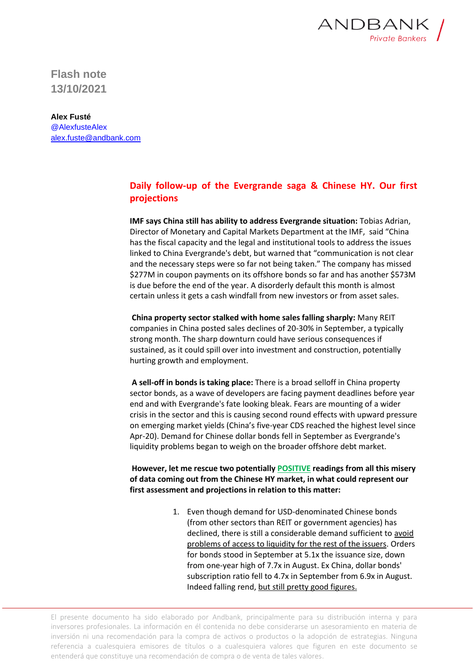

**Flash note 13/10/2021**

**Alex Fusté** @AlexfusteAlex [alex.fuste@andbank.com](mailto:alex.fuste@andbank.com)

## **Daily follow-up of the Evergrande saga & Chinese HY. Our first projections**

**IMF says China still has ability to address Evergrande situation:** Tobias Adrian, Director of Monetary and Capital Markets Department at the IMF, said "China has the fiscal capacity and the legal and institutional tools to address the issues linked to China Evergrande's debt, but warned that "communication is not clear and the necessary steps were so far not being taken." The company has missed \$277M in coupon payments on its offshore bonds so far and has another \$573M is due before the end of the year. A disorderly default this month is almost certain unless it gets a cash windfall from new investors or from asset sales.

**China property sector stalked with home sales falling sharply:** Many REIT companies in China posted sales declines of 20-30% in September, a typically strong month. The sharp downturn could have serious consequences if sustained, as it could spill over into investment and construction, potentially hurting growth and employment.

**A sell-off in bonds is taking place:** There is a broad selloff in China property sector bonds, as a wave of developers are facing payment deadlines before year end and with Evergrande's fate looking bleak. Fears are mounting of a wider crisis in the sector and this is causing second round effects with upward pressure on emerging market yields (China's five-year CDS reached the highest level since Apr-20). Demand for Chinese dollar bonds fell in September as Evergrande's liquidity problems began to weigh on the broader offshore debt market.

**However, let me rescue two potentially POSITIVE readings from all this misery of data coming out from the Chinese HY market, in what could represent our first assessment and projections in relation to this matter:**

> 1. Even though demand for USD-denominated Chinese bonds (from other sectors than REIT or government agencies) has declined, there is still a considerable demand sufficient to avoid problems of access to liquidity for the rest of the issuers. Orders for bonds stood in September at 5.1x the issuance size, down from one-year high of 7.7x in August. Ex China, dollar bonds' subscription ratio fell to 4.7x in September from 6.9x in August. Indeed falling rend, but still pretty good figures.

El presente documento ha sido elaborado por Andbank, principalmente para su distribución interna y para inversores profesionales. La información en él contenida no debe considerarse un asesoramiento en materia de inversión ni una recomendación para la compra de activos o productos o la adopción de estrategias. Ninguna referencia a cualesquiera emisores de títulos o a cualesquiera valores que figuren en este documento se entenderá que constituye una recomendación de compra o de venta de tales valores.